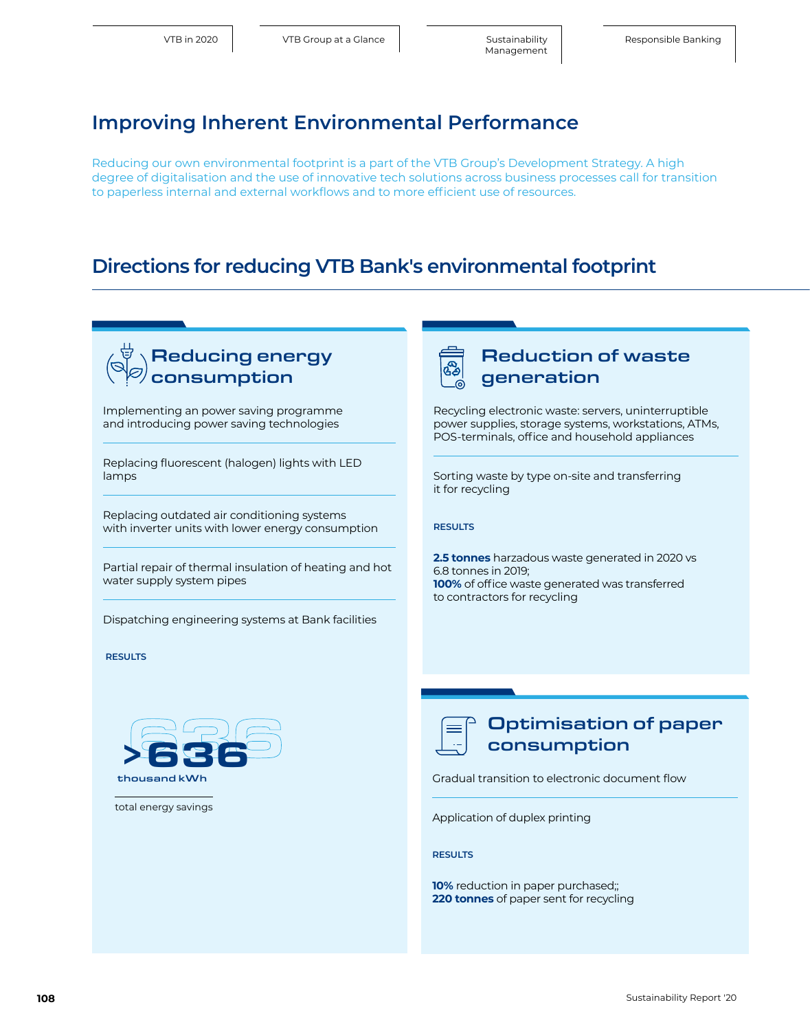# **Improving Inherent Environmental Performance**

Reducing our own environmental footprint is a part of the VTB Group's Development Strategy. A high degree of digitalisation and the use of innovative tech solutions across business processes call for transition to paperless internal and external workflows and to more efficient use of resources.

# **Directions for reducing VTB Bank's environmental footprint**

#### Optimisation of paper consumption Gradual transition to electronic document flow Application of duplex printing Reduction of waste generation Recycling electronic waste: servers, uninterruptible power supplies, storage systems, workstations, ATMs, POS-terminals, office and household appliances Sorting waste by type on-site and transferring it for recycling **RESULTS 2.5 tonnes** harzadous waste generated in 2020 vs 6.8 tonnes in 2019; **100%** of office waste generated was transferred to contractors for recycling Reducing energy consumption Implementing an power saving programme and introducing power saving technologies Replacing fluorescent (halogen) lights with LED lamps Replacing outdated air conditioning systems with inverter units with lower energy consumption Partial repair of thermal insulation of heating and hot water supply system pipes Dispatching engineering systems at Bank facilities  **RESULTS**  >636 thousand kWh 636 total energy savings

**RESULTS** 

**10%** reduction in paper purchased;; **220 tonnes** of paper sent for recycling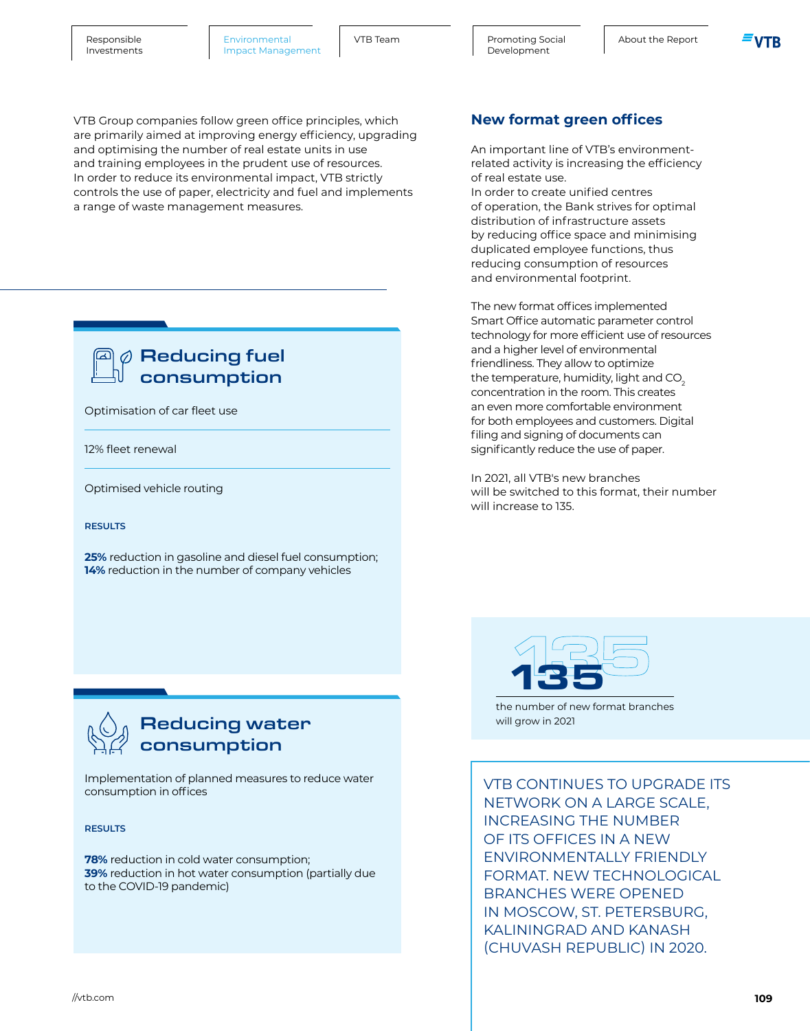[Promoting Social About the Report](#page--1-0) Development

VTB Group companies follow green office principles, which are primarily aimed at improving energy efficiency, upgrading and optimising the number of real estate units in use and training employees in the prudent use of resources. In order to reduce its environmental impact, VTB strictly controls the use of paper, electricity and fuel and implements a range of waste management measures.

### $\emptyset$  Reducing fuel consumption

Optimisation of car fleet use

12% fleet renewal

Optimised vehicle routing

#### **RESULTS**

**25%** reduction in gasoline and diesel fuel consumption; **14%** reduction in the number of company vehicles

### **New format green offices**

An important line of VTB's environmentrelated activity is increasing the efficiency of real estate use.

In order to create unified centres of operation, the Bank strives for optimal distribution of infrastructure assets by reducing office space and minimising duplicated employee functions, thus reducing consumption of resources and environmental footprint.

The new format offices implemented Smart Office automatic parameter control technology for more efficient use of resources and a higher level of environmental friendliness. They allow to optimize the temperature, humidity, light and CO<sub>2</sub> concentration in the room. This creates an even more comfortable environment for both employees and customers. Digital filing and signing of documents can significantly reduce the use of paper.

In 2021, all VTB's new branches will be switched to this format, their number will increase to 135.



the number of new format branches will grow in 2021

# Reducing water consumption

Implementation of planned measures to reduce water consumption in offices

**RESULTS** 

**78%** reduction in cold water consumption; **39%** reduction in hot water consumption (partially due to the COVID-19 pandemic)

VTB CONTINUES TO UPGRADE ITS NETWORK ON A LARGE SCALE, INCREASING THE NUMBER OF ITS OFFICES IN A NEW ENVIRONMENTALLY FRIENDLY FORMAT. NEW TECHNOLOGICAL BRANCHES WERE OPENED IN MOSCOW, ST. PETERSBURG, KALININGRAD AND KANASH (CHUVASH REPUBLIC) IN 2020.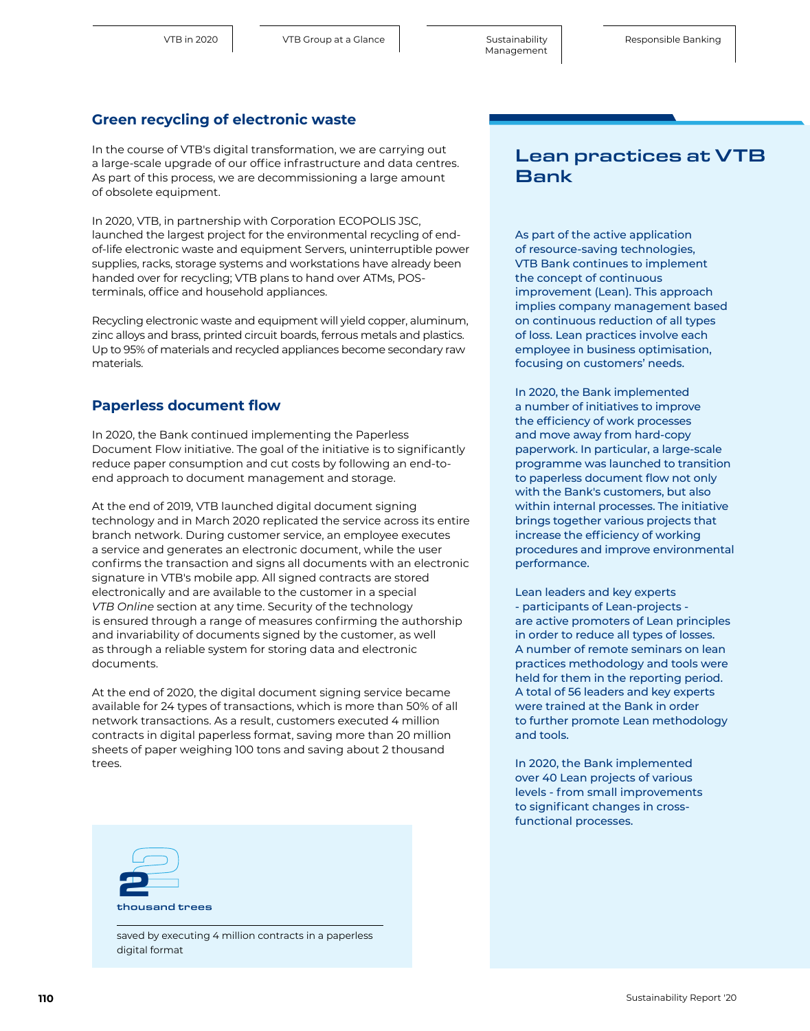#### **Green recycling of electronic waste**

In the course of VTB's digital transformation, we are carrying out a large-scale upgrade of our office infrastructure and data centres. As part of this process, we are decommissioning a large amount of obsolete equipment.

In 2020, VTB, in partnership with Corporation ECOPOLIS JSC, launched the largest project for the environmental recycling of endof-life electronic waste and equipment Servers, uninterruptible power supplies, racks, storage systems and workstations have already been handed over for recycling; VTB plans to hand over ATMs, POSterminals, office and household appliances.

Recycling electronic waste and equipment will yield copper, aluminum, zinc alloys and brass, printed circuit boards, ferrous metals and plastics. Up to 95% of materials and recycled appliances become secondary raw materials.

#### **Paperless document flow**

In 2020, the Bank continued implementing the Paperless Document Flow initiative. The goal of the initiative is to significantly reduce paper consumption and cut costs by following an end-toend approach to document management and storage.

At the end of 2019, VTB launched digital document signing technology and in March 2020 replicated the service across its entire branch network. During customer service, an employee executes a service and generates an electronic document, while the user confirms the transaction and signs all documents with an electronic signature in VTB's mobile app. All signed contracts are stored electronically and are available to the customer in a special *VTB Online* section at any time. Security of the technology is ensured through a range of measures confirming the authorship and invariability of documents signed by the customer, as well as through a reliable system for storing data and electronic documents.

At the end of 2020, the digital document signing service became available for 24 types of transactions, which is more than 50% of all network transactions. As a result, customers executed 4 million contracts in digital paperless format, saving more than 20 million sheets of paper weighing 100 tons and saving about 2 thousand trees.



saved by executing 4 million contracts in a paperless digital format

### Lean practices at VTB Bank

As part of the active application of resource-saving technologies, VTB Bank continues to implement the concept of continuous improvement (Lean). This approach implies company management based on continuous reduction of all types of loss. Lean practices involve each employee in business optimisation, focusing on customers' needs.

In 2020, the Bank implemented a number of initiatives to improve the efficiency of work processes and move away from hard-copy paperwork. In particular, a large-scale programme was launched to transition to paperless document flow not only with the Bank's customers, but also within internal processes. The initiative brings together various projects that increase the efficiency of working procedures and improve environmental performance.

Lean leaders and key experts - participants of Lean-projects are active promoters of Lean principles in order to reduce all types of losses. A number of remote seminars on lean practices methodology and tools were held for them in the reporting period. A total of 56 leaders and key experts were trained at the Bank in order to further promote Lean methodology and tools.

In 2020, the Bank implemented over 40 Lean projects of various levels - from small improvements to significant changes in crossfunctional processes.